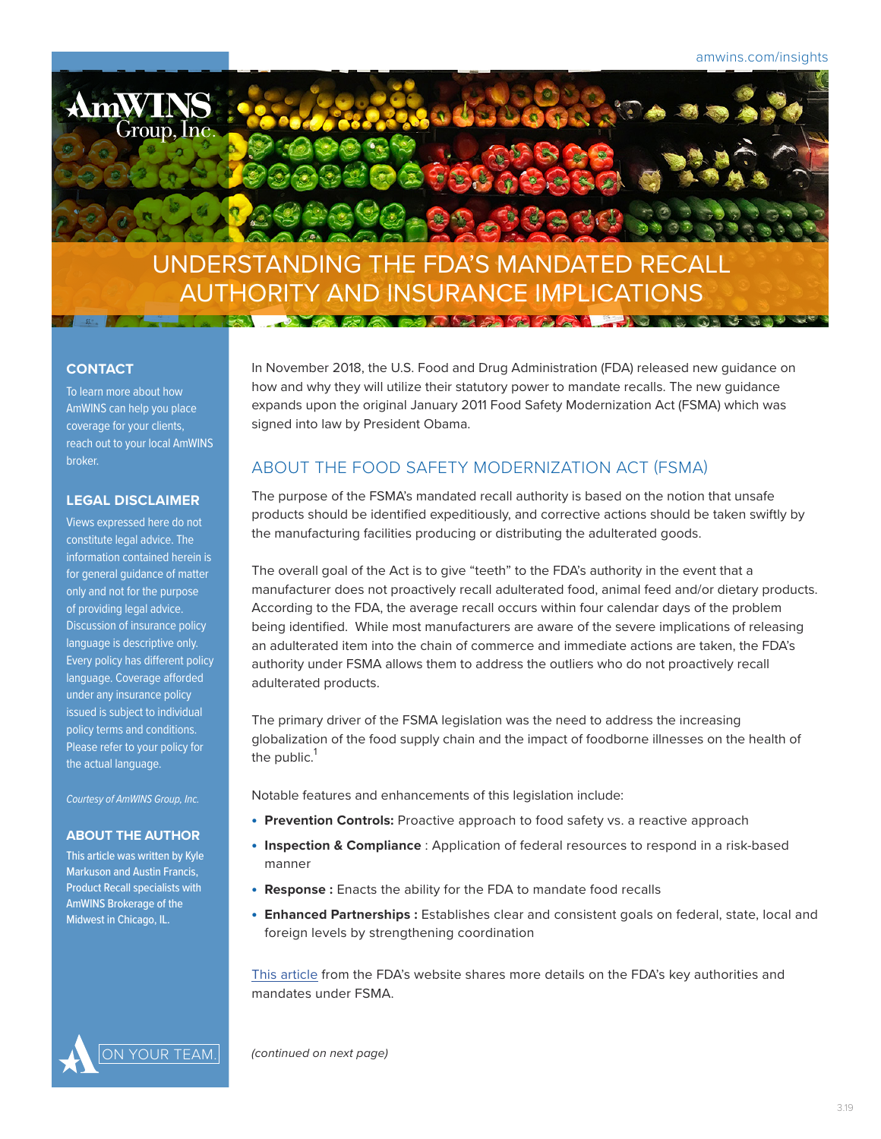

#### **CONTACT**

To learn more about how AmWINS can help you place coverage for your clients, reach out to your local AmWINS broker.

#### **LEGAL DISCLAIMER**

Views expressed here do not constitute legal advice. The information contained herein is for general guidance of matter only and not for the purpose of providing legal advice. Discussion of insurance policy language is descriptive only. Every policy has different policy language. Coverage afforded under any insurance policy issued is subject to individual policy terms and conditions. Please refer to your policy for the actual language.

*Courtesy of AmWINS Group, Inc.*

#### **ABOUT THE AUTHOR**

This article was written by Kyle Markuson and Austin Francis, Product Recall specialists with AmWINS Brokerage of the Midwest in Chicago, IL.

In November 2018, the U.S. Food and Drug Administration (FDA) released new guidance on how and why they will utilize their statutory power to mandate recalls. The new guidance expands upon the original January 2011 Food Safety Modernization Act (FSMA) which was signed into law by President Obama.

# ABOUT THE FOOD SAFETY MODERNIZATION ACT (FSMA)

The purpose of the FSMA's mandated recall authority is based on the notion that unsafe products should be identified expeditiously, and corrective actions should be taken swiftly by the manufacturing facilities producing or distributing the adulterated goods.

The overall goal of the Act is to give "teeth" to the FDA's authority in the event that a manufacturer does not proactively recall adulterated food, animal feed and/or dietary products. According to the FDA, the average recall occurs within four calendar days of the problem being identified. While most manufacturers are aware of the severe implications of releasing an adulterated item into the chain of commerce and immediate actions are taken, the FDA's authority under FSMA allows them to address the outliers who do not proactively recall adulterated products.

The primary driver of the FSMA legislation was the need to address the increasing globalization of the food supply chain and the impact of foodborne illnesses on the health of the public. $<sup>1</sup>$ </sup>

Notable features and enhancements of this legislation include:

- **Prevention Controls:** Proactive approach to food safety vs. a reactive approach
- **Inspection & Compliance** : Application of federal resources to respond in a risk-based manner
- **Response :** Enacts the ability for the FDA to mandate food recalls
- **Enhanced Partnerships :** Establishes clear and consistent goals on federal, state, local and foreign levels by strengthening coordination

[This article](https://www.fda.gov/newsevents/publichealthfocus/ucm239907.htm) from the FDA's website shares more details on the FDA's key authorities and mandates under FSMA.



YOUR TEAM. *(continued on next page)*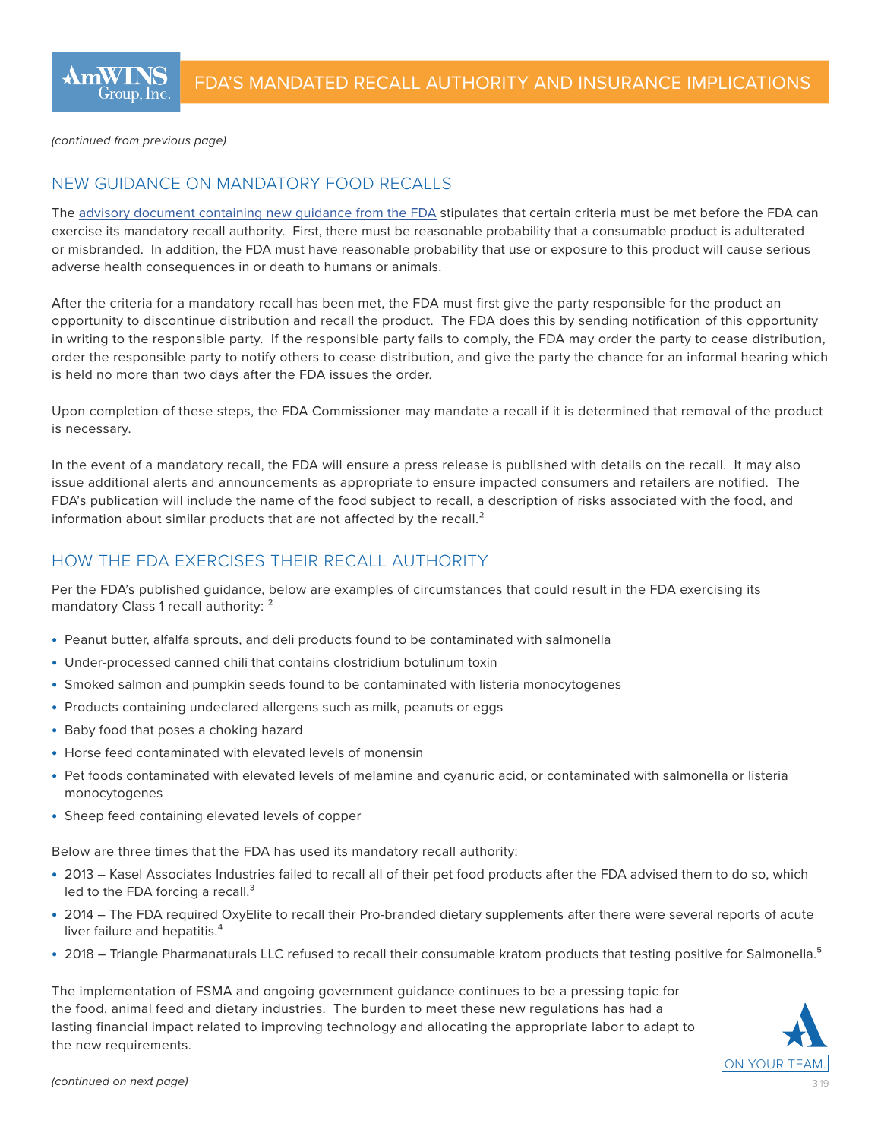*(continued from previous page)* 

## NEW GUIDANCE ON MANDATORY FOOD RECALLS

The [advisory document containing new guidance from the FDA](https://www.fda.gov/downloads/Food/GuidanceRegulation/GuidanceDocumentsRegulatoryInformation/UCM445437.pdf) stipulates that certain criteria must be met before the FDA can exercise its mandatory recall authority. First, there must be reasonable probability that a consumable product is adulterated or misbranded. In addition, the FDA must have reasonable probability that use or exposure to this product will cause serious adverse health consequences in or death to humans or animals.

After the criteria for a mandatory recall has been met, the FDA must first give the party responsible for the product an opportunity to discontinue distribution and recall the product. The FDA does this by sending notification of this opportunity in writing to the responsible party. If the responsible party fails to comply, the FDA may order the party to cease distribution, order the responsible party to notify others to cease distribution, and give the party the chance for an informal hearing which is held no more than two days after the FDA issues the order.

Upon completion of these steps, the FDA Commissioner may mandate a recall if it is determined that removal of the product is necessary.

In the event of a mandatory recall, the FDA will ensure a press release is published with details on the recall. It may also issue additional alerts and announcements as appropriate to ensure impacted consumers and retailers are notified. The FDA's publication will include the name of the food subject to recall, a description of risks associated with the food, and information about similar products that are not affected by the recall. $<sup>2</sup>$ </sup>

## HOW THE FDA EXERCISES THEIR RECALL AUTHORITY

Per the FDA's published guidance, below are examples of circumstances that could result in the FDA exercising its mandatory Class 1 recall authority: <sup>2</sup>

- Peanut butter, alfalfa sprouts, and deli products found to be contaminated with salmonella
- Under-processed canned chili that contains clostridium botulinum toxin
- Smoked salmon and pumpkin seeds found to be contaminated with listeria monocytogenes
- Products containing undeclared allergens such as milk, peanuts or eggs
- Baby food that poses a choking hazard
- Horse feed contaminated with elevated levels of monensin
- Pet foods contaminated with elevated levels of melamine and cyanuric acid, or contaminated with salmonella or listeria monocytogenes
- Sheep feed containing elevated levels of copper

Below are three times that the FDA has used its mandatory recall authority:

- 2013 Kasel Associates Industries failed to recall all of their pet food products after the FDA advised them to do so, which led to the FDA forcing a recall.<sup>3</sup>
- 2014 The FDA required OxyElite to recall their Pro-branded dietary supplements after there were several reports of acute liver failure and hepatitis.<sup>4</sup>
- 2018 Triangle Pharmanaturals LLC refused to recall their consumable kratom products that testing positive for Salmonella.<sup>5</sup>

The implementation of FSMA and ongoing government guidance continues to be a pressing topic for the food, animal feed and dietary industries. The burden to meet these new regulations has had a lasting financial impact related to improving technology and allocating the appropriate labor to adapt to the new requirements.